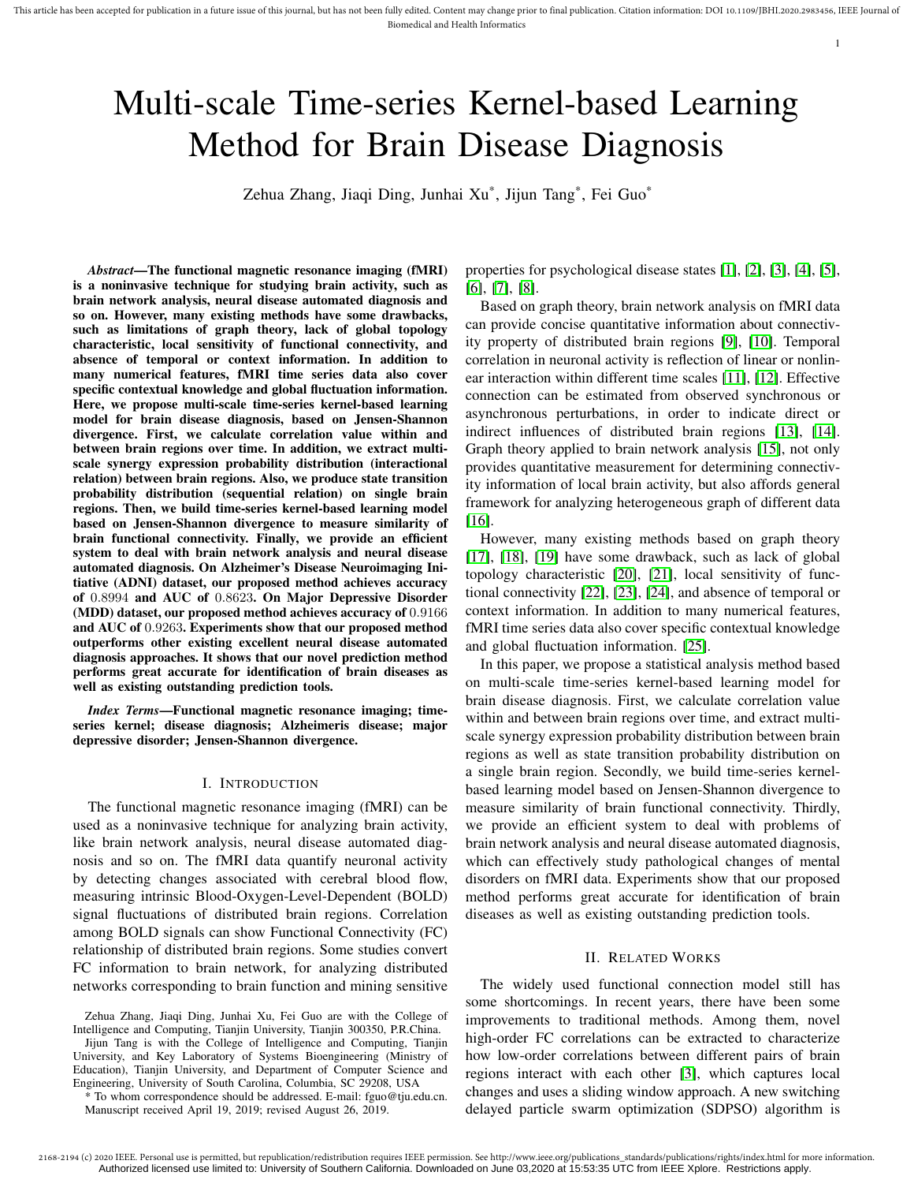# Multi-scale Time-series Kernel-based Learning Method for Brain Disease Diagnosis

Zehua Zhang, Jiaqi Ding, Junhai Xu\* , Jijun Tang\* , Fei Guo\*

*Abstract*—The functional magnetic resonance imaging (fMRI) is a noninvasive technique for studying brain activity, such as brain network analysis, neural disease automated diagnosis and so on. However, many existing methods have some drawbacks, such as limitations of graph theory, lack of global topology characteristic, local sensitivity of functional connectivity, and absence of temporal or context information. In addition to many numerical features, fMRI time series data also cover specific contextual knowledge and global fluctuation information. Here, we propose multi-scale time-series kernel-based learning model for brain disease diagnosis, based on Jensen-Shannon divergence. First, we calculate correlation value within and between brain regions over time. In addition, we extract multiscale synergy expression probability distribution (interactional relation) between brain regions. Also, we produce state transition probability distribution (sequential relation) on single brain regions. Then, we build time-series kernel-based learning model based on Jensen-Shannon divergence to measure similarity of brain functional connectivity. Finally, we provide an efficient system to deal with brain network analysis and neural disease automated diagnosis. On Alzheimer's Disease Neuroimaging Initiative (ADNI) dataset, our proposed method achieves accuracy of 0.8994 and AUC of 0.8623. On Major Depressive Disorder (MDD) dataset, our proposed method achieves accuracy of 0.9166 and AUC of 0.9263. Experiments show that our proposed method outperforms other existing excellent neural disease automated diagnosis approaches. It shows that our novel prediction method performs great accurate for identification of brain diseases as well as existing outstanding prediction tools.

*Index Terms*—Functional magnetic resonance imaging; timeseries kernel; disease diagnosis; Alzheimeris disease; major depressive disorder; Jensen-Shannon divergence.

#### I. INTRODUCTION

The functional magnetic resonance imaging (fMRI) can be used as a noninvasive technique for analyzing brain activity, like brain network analysis, neural disease automated diagnosis and so on. The fMRI data quantify neuronal activity by detecting changes associated with cerebral blood flow, measuring intrinsic Blood-Oxygen-Level-Dependent (BOLD) signal fluctuations of distributed brain regions. Correlation among BOLD signals can show Functional Connectivity (FC) relationship of distributed brain regions. Some studies convert FC information to brain network, for analyzing distributed networks corresponding to brain function and mining sensitive

Jijun Tang is with the College of Intelligence and Computing, Tianjin University, and Key Laboratory of Systems Bioengineering (Ministry of Education), Tianjin University, and Department of Computer Science and Engineering, University of South Carolina, Columbia, SC 29208, USA

\* To whom correspondence should be addressed. E-mail: fguo@tju.edu.cn. Manuscript received April 19, 2019; revised August 26, 2019.

properties for psychological disease states [1], [2], [3], [4], [5], [6], [7], [8].

1

Based on graph theory, brain network analysis on fMRI data can provide concise quantitative information about connectivity property of distributed brain regions [9], [10]. Temporal correlation in neuronal activity is reflection of linear or nonlinear interaction within different time scales [11], [12]. Effective connection can be estimated from observed synchronous or asynchronous perturbations, in order to indicate direct or indirect influences of distributed brain regions [13], [14]. Graph theory applied to brain network analysis [15], not only provides quantitative measurement for determining connectivity information of local brain activity, but also affords general framework for analyzing heterogeneous graph of different data [16].

However, many existing methods based on graph theory [17], [18], [19] have some drawback, such as lack of global topology characteristic [20], [21], local sensitivity of functional connectivity [22], [23], [24], and absence of temporal or context information. In addition to many numerical features, fMRI time series data also cover specific contextual knowledge and global fluctuation information. [25].

In this paper, we propose a statistical analysis method based on multi-scale time-series kernel-based learning model for brain disease diagnosis. First, we calculate correlation value within and between brain regions over time, and extract multiscale synergy expression probability distribution between brain regions as well as state transition probability distribution on a single brain region. Secondly, we build time-series kernelbased learning model based on Jensen-Shannon divergence to measure similarity of brain functional connectivity. Thirdly, we provide an efficient system to deal with problems of brain network analysis and neural disease automated diagnosis, which can effectively study pathological changes of mental disorders on fMRI data. Experiments show that our proposed method performs great accurate for identification of brain diseases as well as existing outstanding prediction tools.

#### II. RELATED WORKS

The widely used functional connection model still has some shortcomings. In recent years, there have been some improvements to traditional methods. Among them, novel high-order FC correlations can be extracted to characterize how low-order correlations between different pairs of brain regions interact with each other [3], which captures local changes and uses a sliding window approach. A new switching delayed particle swarm optimization (SDPSO) algorithm is

Zehua Zhang, Jiaqi Ding, Junhai Xu, Fei Guo are with the College of Intelligence and Computing, Tianjin University, Tianjin 300350, P.R.China.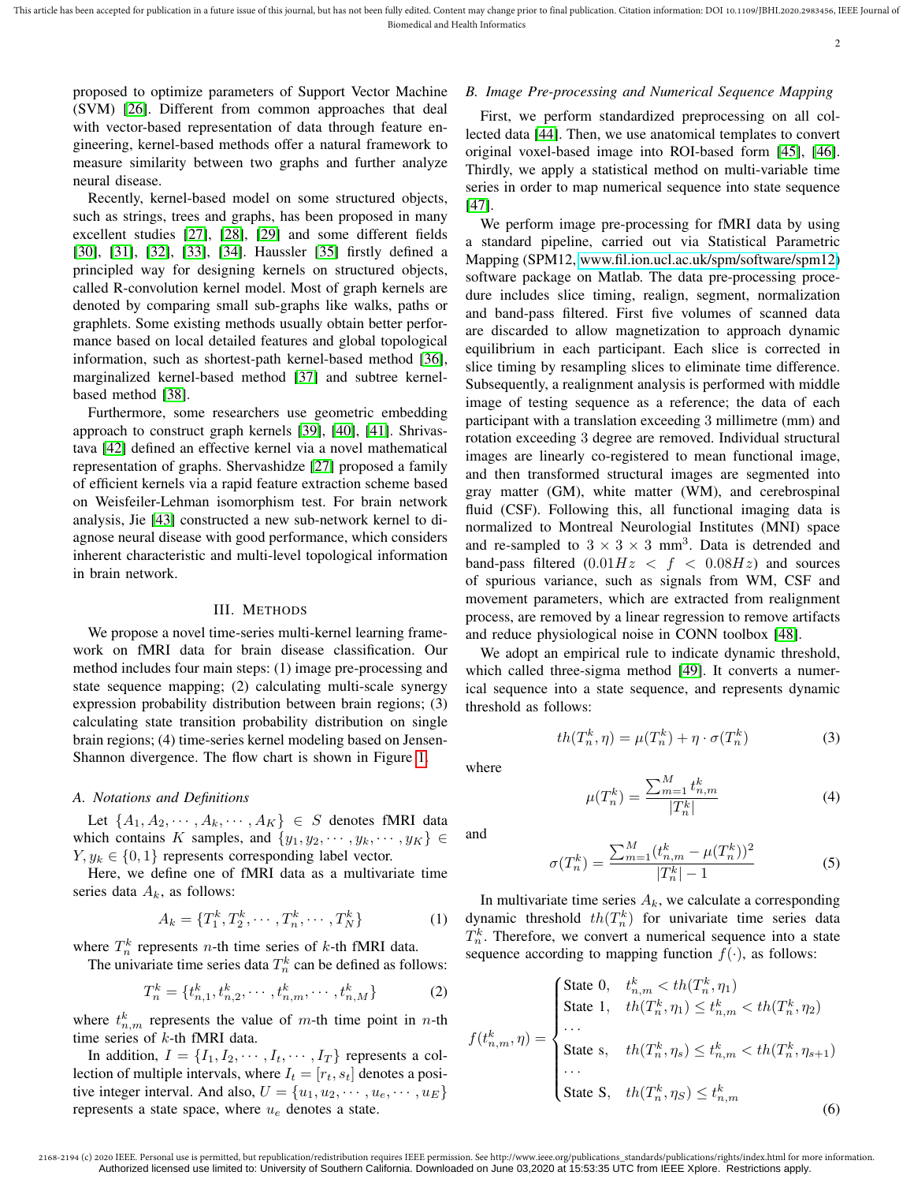proposed to optimize parameters of Support Vector Machine (SVM) [26]. Different from common approaches that deal with vector-based representation of data through feature engineering, kernel-based methods offer a natural framework to measure similarity between two graphs and further analyze neural disease.

Recently, kernel-based model on some structured objects, such as strings, trees and graphs, has been proposed in many excellent studies [27], [28], [29] and some different fields [30], [31], [32], [33], [34]. Haussler [35] firstly defined a principled way for designing kernels on structured objects, called R-convolution kernel model. Most of graph kernels are denoted by comparing small sub-graphs like walks, paths or graphlets. Some existing methods usually obtain better performance based on local detailed features and global topological information, such as shortest-path kernel-based method [36], marginalized kernel-based method [37] and subtree kernelbased method [38].

Furthermore, some researchers use geometric embedding approach to construct graph kernels [39], [40], [41]. Shrivastava [42] defined an effective kernel via a novel mathematical representation of graphs. Shervashidze [27] proposed a family of efficient kernels via a rapid feature extraction scheme based on Weisfeiler-Lehman isomorphism test. For brain network analysis, Jie [43] constructed a new sub-network kernel to diagnose neural disease with good performance, which considers inherent characteristic and multi-level topological information in brain network.

#### III. METHODS

We propose a novel time-series multi-kernel learning framework on fMRI data for brain disease classification. Our method includes four main steps: (1) image pre-processing and state sequence mapping; (2) calculating multi-scale synergy expression probability distribution between brain regions; (3) calculating state transition probability distribution on single brain regions; (4) time-series kernel modeling based on Jensen-Shannon divergence. The flow chart is shown in Figure 1.

## *A. Notations and Definitions*

Let  $\{A_1, A_2, \cdots, A_k, \cdots, A_K\} \in S$  denotes fMRI data which contains K samples, and  $\{y_1, y_2, \cdots, y_k, \cdots, y_K\} \in$  $Y, y_k \in \{0, 1\}$  represents corresponding label vector.

Here, we define one of fMRI data as a multivariate time series data  $A_k$ , as follows:

$$
A_k = \{T_1^k, T_2^k, \cdots, T_n^k, \cdots, T_N^k\}
$$
 (1)

where  $T_n^k$  represents *n*-th time series of *k*-th fMRI data.

The univariate time series data  $T_n^k$  can be defined as follows:

$$
T_n^k = \{t_{n,1}^k, t_{n,2}^k, \cdots, t_{n,m}^k, \cdots, t_{n,M}^k\}
$$
 (2)

where  $t_{n,m}^k$  represents the value of m-th time point in n-th time series of k-th fMRI data.

In addition,  $I = \{I_1, I_2, \dots, I_t, \dots, I_T\}$  represents a collection of multiple intervals, where  $I_t = [r_t, s_t]$  denotes a positive integer interval. And also,  $U = \{u_1, u_2, \dots, u_e, \dots, u_E\}$ represents a state space, where  $u_e$  denotes a state.

# *B. Image Pre-processing and Numerical Sequence Mapping*

First, we perform standardized preprocessing on all collected data [44]. Then, we use anatomical templates to convert original voxel-based image into ROI-based form [45], [46]. Thirdly, we apply a statistical method on multi-variable time series in order to map numerical sequence into state sequence [47].

We perform image pre-processing for fMRI data by using a standard pipeline, carried out via Statistical Parametric Mapping (SPM12, [www.fil.ion.ucl.ac.uk/spm/software/spm12\)](www.fil.ion.ucl.ac.uk/spm/software/spm12) software package on Matlab. The data pre-processing procedure includes slice timing, realign, segment, normalization and band-pass filtered. First five volumes of scanned data are discarded to allow magnetization to approach dynamic equilibrium in each participant. Each slice is corrected in slice timing by resampling slices to eliminate time difference. Subsequently, a realignment analysis is performed with middle image of testing sequence as a reference; the data of each participant with a translation exceeding 3 millimetre (mm) and rotation exceeding 3 degree are removed. Individual structural images are linearly co-registered to mean functional image, and then transformed structural images are segmented into gray matter (GM), white matter (WM), and cerebrospinal fluid (CSF). Following this, all functional imaging data is normalized to Montreal Neurologial Institutes (MNI) space and re-sampled to  $3 \times 3 \times 3$  mm<sup>3</sup>. Data is detrended and band-pass filtered  $(0.01Hz < f < 0.08Hz)$  and sources of spurious variance, such as signals from WM, CSF and movement parameters, which are extracted from realignment process, are removed by a linear regression to remove artifacts and reduce physiological noise in CONN toolbox [48].

We adopt an empirical rule to indicate dynamic threshold, which called three-sigma method [49]. It converts a numerical sequence into a state sequence, and represents dynamic threshold as follows:

$$
th(T_n^k, \eta) = \mu(T_n^k) + \eta \cdot \sigma(T_n^k)
$$
\n(3)

where

$$
\mu(T_n^k) = \frac{\sum_{m=1}^M t_{n,m}^k}{|T_n^k|} \tag{4}
$$

and

$$
\sigma(T_n^k) = \frac{\sum_{m=1}^M (t_{n,m}^k - \mu(T_n^k))^2}{|T_n^k| - 1}
$$
\n(5)

In multivariate time series  $A_k$ , we calculate a corresponding dynamic threshold  $th(T_n^k)$  for univariate time series data  $T_n^k$ . Therefore, we convert a numerical sequence into a state sequence according to mapping function  $f(\cdot)$ , as follows:

$$
f(t_{n,m}^k, \eta) = \begin{cases} \text{State } 0, & t_{n,m}^k < th(T_n^k, \eta_1) \\ \text{State } 1, & th(T_n^k, \eta_1) \le t_{n,m}^k < th(T_n^k, \eta_2) \\ \cdots \\ \text{State } s, & th(T_n^k, \eta_s) \le t_{n,m}^k < th(T_n^k, \eta_{s+1}) \\ \cdots \\ \text{State } s, & th(T_n^k, \eta_S) \le t_{n,m}^k \end{cases} \tag{6}
$$

2168-2194 (c) 2020 IEEE. Personal use is permitted, but republication/redistribution requires IEEE permission. See http://www.ieee.org/publications\_standards/publications/rights/index.html for more information. Authorized licensed use limited to: University of Southern California. Downloaded on June 03,2020 at 15:53:35 UTC from IEEE Xplore. Restrictions apply.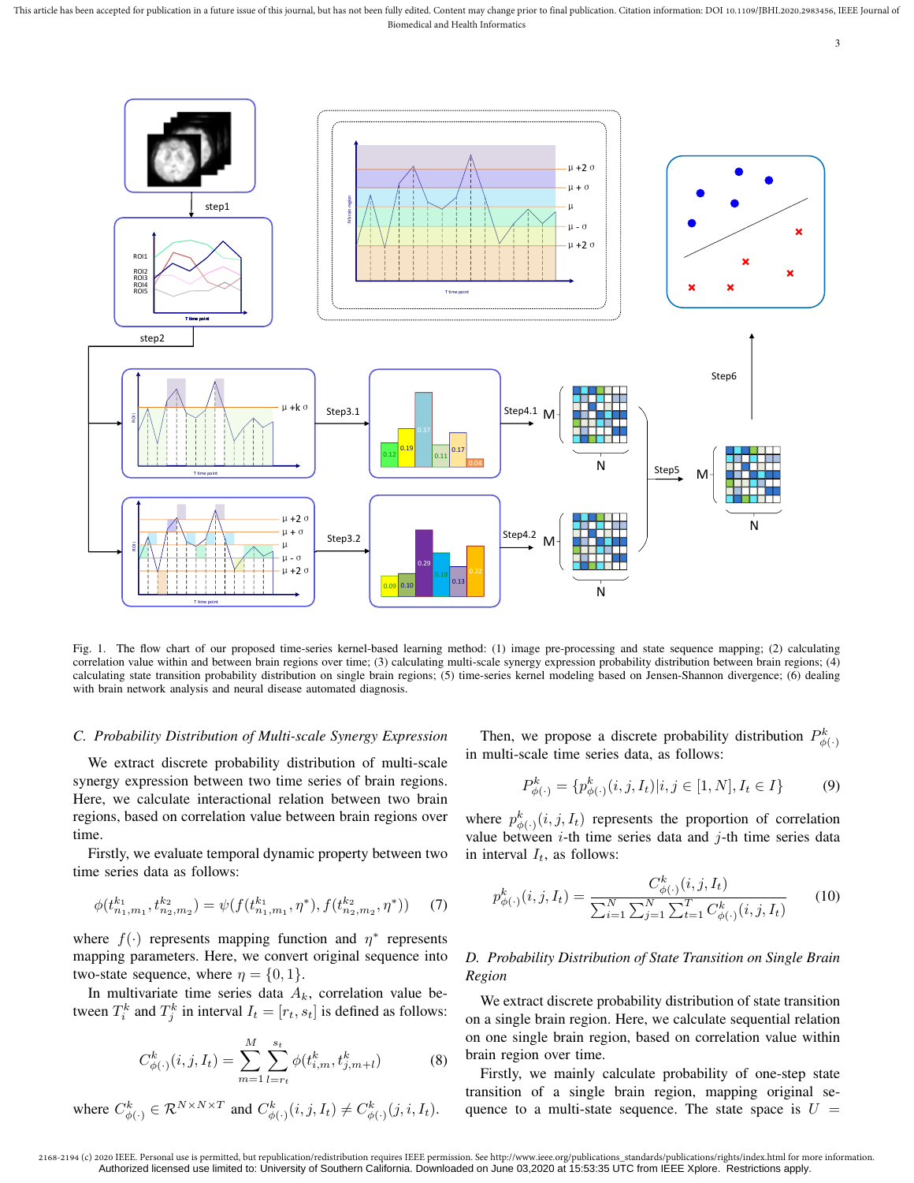This article has been accepted for publication in a future issue of this journal, but has not been fully edited. Content may change prior to final publication. Citation information: DOI 10.1109/JBHI.2020.2983456, IEEE Jour Biomedical and Health Informatics



Fig. 1. The flow chart of our proposed time-series kernel-based learning method: (1) image pre-processing and state sequence mapping; (2) calculating correlation value within and between brain regions over time; (3) calculating multi-scale synergy expression probability distribution between brain regions; (4) calculating state transition probability distribution on single brain regions; (5) time-series kernel modeling based on Jensen-Shannon divergence; (6) dealing with brain network analysis and neural disease automated diagnosis.

## *C. Probability Distribution of Multi-scale Synergy Expression*

We extract discrete probability distribution of multi-scale synergy expression between two time series of brain regions. Here, we calculate interactional relation between two brain regions, based on correlation value between brain regions over time.

Firstly, we evaluate temporal dynamic property between two time series data as follows:

$$
\phi(t^{k_1}_{n_1,m_1}, t^{k_2}_{n_2,m_2}) = \psi(f(t^{k_1}_{n_1,m_1}, \eta^*), f(t^{k_2}_{n_2,m_2}, \eta^*)) \tag{7}
$$

where  $f(\cdot)$  represents mapping function and  $\eta^*$  represents mapping parameters. Here, we convert original sequence into two-state sequence, where  $\eta = \{0, 1\}.$ 

In multivariate time series data  $A_k$ , correlation value between  $T_i^k$  and  $T_j^k$  in interval  $I_t = [r_t, s_t]$  is defined as follows:

$$
C_{\phi(\cdot)}^k(i,j,I_t) = \sum_{m=1}^M \sum_{l=r_t}^{s_t} \phi(t_{i,m}^k, t_{j,m+l}^k)
$$
(8)

$$
\text{ where } C^k_{\phi(\cdot)} \in \mathcal{R}^{N \times N \times T} \text{ and } C^k_{\phi(\cdot)}(i,j,I_t) \neq C^k_{\phi(\cdot)}(j,i,I_t).
$$

Then, we propose a discrete probability distribution  $P_{\phi(\cdot)}^k$ in multi-scale time series data, as follows:

$$
P_{\phi(\cdot)}^k = \{ p_{\phi(\cdot)}^k(i, j, I_t) | i, j \in [1, N], I_t \in I \}
$$
(9)

where  $p_{\phi(\cdot)}^k(i, j, I_t)$  represents the proportion of correlation value between  $i$ -th time series data and  $j$ -th time series data in interval  $I_t$ , as follows:

$$
p_{\phi(\cdot)}^k(i,j,I_t) = \frac{C_{\phi(\cdot)}^k(i,j,I_t)}{\sum_{i=1}^N \sum_{j=1}^N \sum_{t=1}^T C_{\phi(\cdot)}^k(i,j,I_t)}
$$
(10)

# *D. Probability Distribution of State Transition on Single Brain Region*

We extract discrete probability distribution of state transition on a single brain region. Here, we calculate sequential relation on one single brain region, based on correlation value within brain region over time.

Firstly, we mainly calculate probability of one-step state transition of a single brain region, mapping original sequence to a multi-state sequence. The state space is  $U =$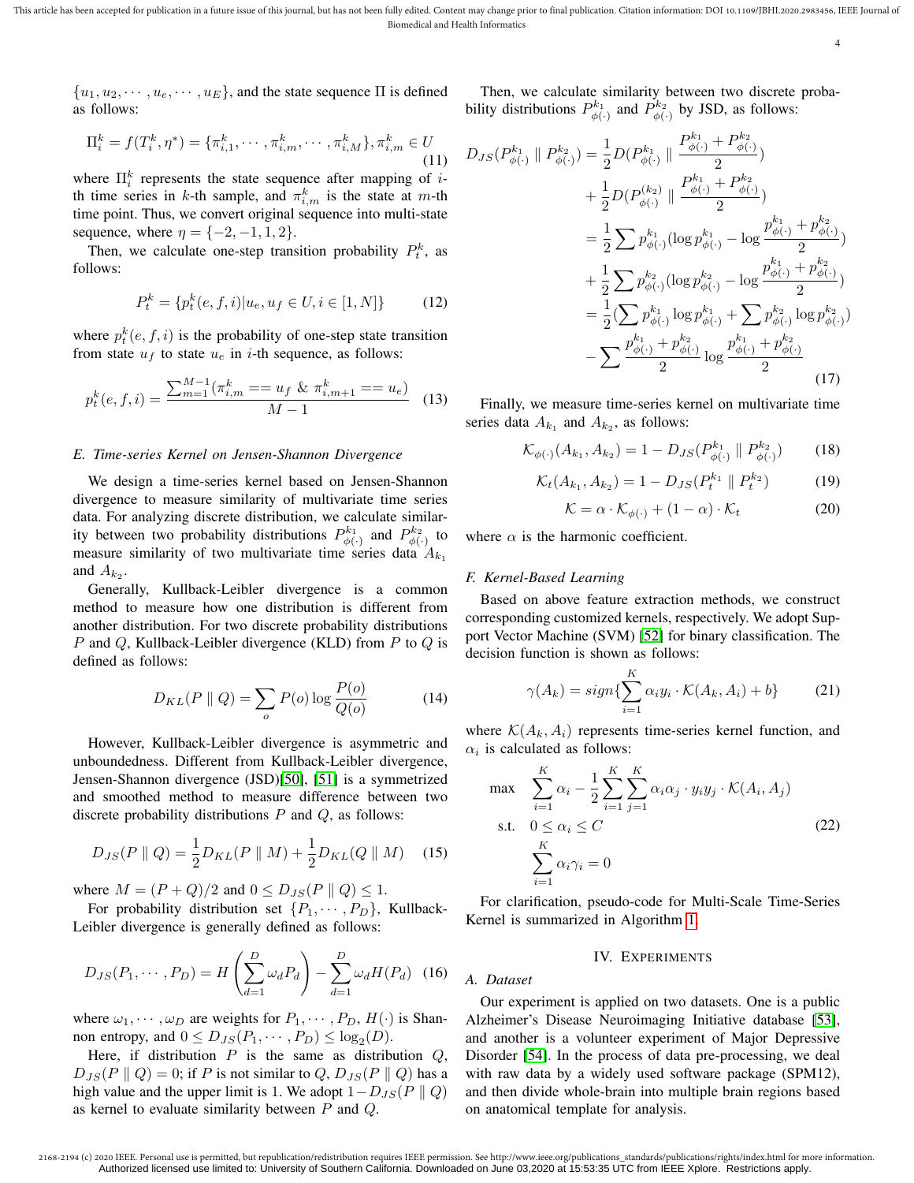$\{u_1, u_2, \cdots, u_e, \cdots, u_E\}$ , and the state sequence  $\Pi$  is defined as follows:

$$
\Pi_i^k = f(T_i^k, \eta^*) = \{\pi_{i,1}^k, \cdots, \pi_{i,m}^k, \cdots, \pi_{i,M}^k\}, \pi_{i,m}^k \in U
$$
\n(11)

where  $\prod_{i=1}^{k}$  represents the state sequence after mapping of *i*th time series in k-th sample, and  $\pi_{i,m}^k$  is the state at m-th time point. Thus, we convert original sequence into multi-state sequence, where  $\eta = \{-2, -1, 1, 2\}$ .

Then, we calculate one-step transition probability  $P_t^k$ , as follows:

$$
P_t^k = \{ p_t^k(e, f, i) | u_e, u_f \in U, i \in [1, N] \}
$$
 (12)

where  $p_t^k(e, f, i)$  is the probability of one-step state transition from state  $u_f$  to state  $u_e$  in *i*-th sequence, as follows:

$$
p_t^k(e, f, i) = \frac{\sum_{m=1}^{M-1} (\pi_{i,m}^k = u_f \& \pi_{i,m+1}^k = u_e)}{M-1}
$$
 (13)

#### *E. Time-series Kernel on Jensen-Shannon Divergence*

We design a time-series kernel based on Jensen-Shannon divergence to measure similarity of multivariate time series data. For analyzing discrete distribution, we calculate similarity between two probability distributions  $P_{\phi(\cdot)}^{k_1}$  and  $P_{\phi(\cdot)}^{k_2}$  to measure similarity of two multivariate time series data  $A_{k_1}$ and  $A_{k_2}$ .

Generally, Kullback-Leibler divergence is a common method to measure how one distribution is different from another distribution. For two discrete probability distributions P and Q, Kullback-Leibler divergence (KLD) from P to  $Q$  is defined as follows:

$$
D_{KL}(P \parallel Q) = \sum_{o} P(o) \log \frac{P(o)}{Q(o)} \tag{14}
$$

However, Kullback-Leibler divergence is asymmetric and unboundedness. Different from Kullback-Leibler divergence, Jensen-Shannon divergence (JSD)[50], [51] is a symmetrized and smoothed method to measure difference between two discrete probability distributions  $P$  and  $Q$ , as follows:

$$
D_{JS}(P \parallel Q) = \frac{1}{2} D_{KL}(P \parallel M) + \frac{1}{2} D_{KL}(Q \parallel M) \quad (15)
$$

where  $M = (P + Q)/2$  and  $0 \leq D_{JS}(P || Q) \leq 1$ .

For probability distribution set  $\{P_1, \cdots, P_D\}$ , Kullback-Leibler divergence is generally defined as follows:

$$
D_{JS}(P_1, \cdots, P_D) = H\left(\sum_{d=1}^D \omega_d P_d\right) - \sum_{d=1}^D \omega_d H(P_d) \quad (16)
$$

where  $\omega_1, \dots, \omega_D$  are weights for  $P_1, \dots, P_D, H(\cdot)$  is Shannon entropy, and  $0 \leq D_{JS}(P_1, \dots, P_D) \leq \log_2(D)$ .

Here, if distribution  $P$  is the same as distribution  $Q$ ,  $D_{JS}(P \parallel Q) = 0$ ; if P is not similar to  $Q$ ,  $D_{JS}(P \parallel Q)$  has a high value and the upper limit is 1. We adopt  $1-D_{JS}(P \parallel Q)$ as kernel to evaluate similarity between  $P$  and  $Q$ .

Then, we calculate similarity between two discrete probability distributions  $P_{\phi(\cdot)}^{k_1}$  and  $P_{\phi(\cdot)}^{k_2}$  by JSD, as follows:

$$
D_{JS}(P_{\phi(\cdot)}^{k_1} \parallel P_{\phi(\cdot)}^{k_2}) = \frac{1}{2}D(P_{\phi(\cdot)}^{k_1} \parallel \frac{P_{\phi(\cdot)}^{k_1} + P_{\phi(\cdot)}^{k_2}}{2})
$$
  
+ 
$$
\frac{1}{2}D(P_{\phi(\cdot)}^{(k_2)} \parallel \frac{P_{\phi(\cdot)}^{k_1} + P_{\phi(\cdot)}^{k_2}}{2})
$$
  
= 
$$
\frac{1}{2} \sum p_{\phi(\cdot)}^{k_1} (\log p_{\phi(\cdot)}^{k_1} - \log \frac{p_{\phi(\cdot)}^{k_1} + p_{\phi(\cdot)}^{k_2}}{2})
$$
  
+ 
$$
\frac{1}{2} \sum p_{\phi(\cdot)}^{k_2} (\log p_{\phi(\cdot)}^{k_2} - \log \frac{p_{\phi(\cdot)}^{k_1} + p_{\phi(\cdot)}^{k_2}}{2})
$$
  
= 
$$
\frac{1}{2} (\sum p_{\phi(\cdot)}^{k_1} \log p_{\phi(\cdot)}^{k_1} + \sum p_{\phi(\cdot)}^{k_2} \log p_{\phi(\cdot)}^{k_2})
$$
  
- 
$$
\sum \frac{p_{\phi(\cdot)}^{k_1} + p_{\phi(\cdot)}^{k_2}}{2} \log \frac{p_{\phi(\cdot)}^{k_1} + p_{\phi(\cdot)}^{k_2}}{2}
$$
(17)

Finally, we measure time-series kernel on multivariate time series data  $A_{k_1}$  and  $A_{k_2}$ , as follows:

$$
\mathcal{K}_{\phi(\cdot)}(A_{k_1}, A_{k_2}) = 1 - D_{JS}(P_{\phi(\cdot)}^{k_1} \parallel P_{\phi(\cdot)}^{k_2}) \tag{18}
$$

$$
\mathcal{K}_t(A_{k_1}, A_{k_2}) = 1 - D_{JS}(P_t^{k_1} \parallel P_t^{k_2})
$$
 (19)

$$
\mathcal{K} = \alpha \cdot \mathcal{K}_{\phi(\cdot)} + (1 - \alpha) \cdot \mathcal{K}_t \tag{20}
$$

where  $\alpha$  is the harmonic coefficient.

#### *F. Kernel-Based Learning*

Based on above feature extraction methods, we construct corresponding customized kernels, respectively. We adopt Support Vector Machine (SVM) [52] for binary classification. The decision function is shown as follows:

$$
\gamma(A_k) = sign\{\sum_{i=1}^K \alpha_i y_i \cdot \mathcal{K}(A_k, A_i) + b\}
$$
 (21)

where  $\mathcal{K}(A_k, A_i)$  represents time-series kernel function, and  $\alpha_i$  is calculated as follows:

$$
\max \sum_{i=1}^{K} \alpha_i - \frac{1}{2} \sum_{i=1}^{K} \sum_{j=1}^{K} \alpha_i \alpha_j \cdot y_i y_j \cdot \mathcal{K}(A_i, A_j)
$$
  
s.t.  $0 \le \alpha_i \le C$   

$$
\sum_{i=1}^{K} \alpha_i \gamma_i = 0
$$
 (22)

For clarification, pseudo-code for Multi-Scale Time-Series Kernel is summarized in Algorithm 1.

#### IV. EXPERIMENTS

#### *A. Dataset*

Our experiment is applied on two datasets. One is a public Alzheimer's Disease Neuroimaging Initiative database [53], and another is a volunteer experiment of Major Depressive Disorder [54]. In the process of data pre-processing, we deal with raw data by a widely used software package (SPM12), and then divide whole-brain into multiple brain regions based on anatomical template for analysis.

<sup>2168-2194 (</sup>c) 2020 IEEE. Personal use is permitted, but republication/redistribution requires IEEE permission. See http://www.ieee.org/publications\_standards/publications/rights/index.html for more information. Authorized licensed use limited to: University of Southern California. Downloaded on June 03,2020 at 15:53:35 UTC from IEEE Xplore. Restrictions apply.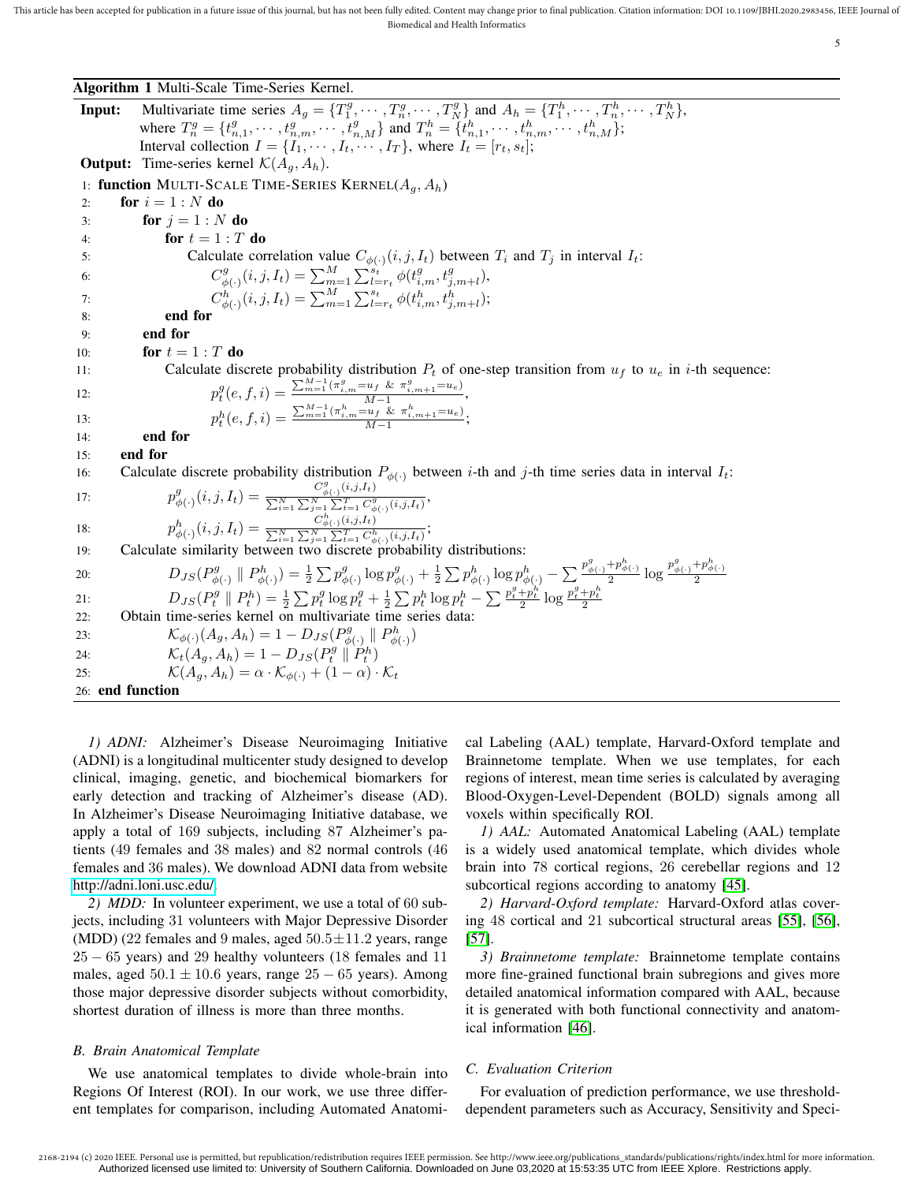Algorithm 1 Multi-Scale Time-Series Kernel.

| Input:           | Multivariate time series $A_g = \{T_1^g, \dots, T_n^g, \dots, T_N^g\}$ and $A_h = \{T_1^h, \dots, T_n^h, \dots, T_N^h\}$ ,                                                                                                                                                                  |
|------------------|---------------------------------------------------------------------------------------------------------------------------------------------------------------------------------------------------------------------------------------------------------------------------------------------|
|                  | where $T_n^g = \{t_{n,1}^g, \dots, t_{n,m}^g, \dots, t_{n,M}^g\}$ and $T_n^h = \{t_{n,1}^h, \dots, t_{n,m}^h, \dots, t_{n,M}^h\};$                                                                                                                                                          |
|                  | Interval collection $I = \{I_1, \cdots, I_t, \cdots, I_T\}$ , where $I_t = [r_t, s_t]$ ;                                                                                                                                                                                                    |
|                  | <b>Output:</b> Time-series kernel $\mathcal{K}(A_q, A_h)$ .                                                                                                                                                                                                                                 |
|                  | 1: function MULTI-SCALE TIME-SERIES KERNEL $(A_g, A_h)$                                                                                                                                                                                                                                     |
| 2:               | for $i = 1 : N$ do                                                                                                                                                                                                                                                                          |
| 3:               | for $j = 1 : N$ do                                                                                                                                                                                                                                                                          |
| 4:               | for $t = 1 : T$ do                                                                                                                                                                                                                                                                          |
| 5:               | Calculate correlation value $C_{\phi(\cdot)}(i, j, I_t)$ between $T_i$ and $T_j$ in interval $I_t$ :                                                                                                                                                                                        |
| 6:               | $C_{\phi(\cdot)}^g(i,j,I_t) = \sum_{m=1}^M \sum_{l=r_t}^{s_t} \phi(t_{i,m}^g, t_{j,m+l}^g),$<br>$C_{\phi(\cdot)}^h(i,j,I_t) = \sum_{m=1}^M \sum_{l=r_t}^{s_t} \phi(t_{i,m}^h, t_{j,m+l}^h);$                                                                                                |
| 7:               |                                                                                                                                                                                                                                                                                             |
| 8:               | end for                                                                                                                                                                                                                                                                                     |
| 9:               | end for                                                                                                                                                                                                                                                                                     |
| 10:              | for $t = 1 : T$ do                                                                                                                                                                                                                                                                          |
| 11:              | Calculate discrete probability distribution $P_t$ of one-step transition from $u_f$ to $u_e$ in <i>i</i> -th sequence:                                                                                                                                                                      |
| 12:              | $p_t^g(e, f, i) = \frac{\sum_{m=1}^{M-1} (\pi_{i,m}^g = u_f \& \pi_{i,m+1}^g = u_e)}{M-1},$                                                                                                                                                                                                 |
| 13:              | $p_t^h(e, f, i) = \frac{\sum_{m=1}^{M-1} (\pi_{i,m}^h = u_f \& \pi_{i,m+1}^h = u_e)}{M}$                                                                                                                                                                                                    |
| 14:              | end for                                                                                                                                                                                                                                                                                     |
| 15:              | end for                                                                                                                                                                                                                                                                                     |
| 16:              | Calculate discrete probability distribution $P_{\phi(\cdot)}$ between i-th and j-th time series data in interval $I_t$ :                                                                                                                                                                    |
| 17:              | $p^g_{\phi(\cdot)}(i,j,I_t) = \frac{C^s_{\phi(\cdot)}(i,j,t_t)}{\sum_{i=1}^N\sum_{j=1}^N\sum_{t=1}^T C^g_{\phi(\cdot)}(i,j,I_t)},$                                                                                                                                                          |
| 18:              | $p_{\phi(\cdot)}^h(i,j,I_t) = \frac{C_{\phi(\cdot)}^h(i,j,I_t)}{\sum_{i=1}^N\sum_{j=1}^T\sum_{t=1}^T C_{\phi(\cdot)}^h(i,j,I_t)};$                                                                                                                                                          |
| 19:              | Calculate similarity between two discrete probability distributions:                                                                                                                                                                                                                        |
| 20:              | $D_{JS}(P^g_{\phi(\cdot)} \parallel P^h_{\phi(\cdot)}) = \frac{1}{2} \sum p^g_{\phi(\cdot)} \log p^g_{\phi(\cdot)} + \frac{1}{2} \sum p^h_{\phi(\cdot)} \log p^h_{\phi(\cdot)} - \sum \frac{p^g_{\phi(\cdot)} + p^h_{\phi(\cdot)}}{2} \log \frac{p^g_{\phi(\cdot)} + p^h_{\phi(\cdot)}}{2}$ |
| 21:              | $D_{JS}(P_t^g \parallel P_t^h) = \frac{1}{2} \sum p_t^g \log p_t^g + \frac{1}{2} \sum p_t^h \log p_t^h - \sum \frac{p_t^g + p_t^h}{2} \log \frac{p_t^g + p_t^h}{2}$                                                                                                                         |
| 22:              | Obtain time-series kernel on multivariate time series data:                                                                                                                                                                                                                                 |
| 23:              | $\mathcal{K}_{\phi(\cdot)}(A_g, A_h) = 1 - D_{JS}(P^g_{\phi(\cdot)} \parallel P^h_{\phi(\cdot)})$                                                                                                                                                                                           |
| 24:              | $\mathcal{K}_t(A_a, A_b) = 1 - D_{JS}(P_t^g \parallel P_t^h)$                                                                                                                                                                                                                               |
| 25:              | $\mathcal{K}(A_a, A_b) = \alpha \cdot \mathcal{K}_{\phi(\cdot)} + (1 - \alpha) \cdot \mathcal{K}_t$                                                                                                                                                                                         |
| 26: end function |                                                                                                                                                                                                                                                                                             |

*1) ADNI:* Alzheimer's Disease Neuroimaging Initiative (ADNI) is a longitudinal multicenter study designed to develop clinical, imaging, genetic, and biochemical biomarkers for early detection and tracking of Alzheimer's disease (AD). In Alzheimer's Disease Neuroimaging Initiative database, we apply a total of 169 subjects, including 87 Alzheimer's patients (49 females and 38 males) and 82 normal controls (46 females and 36 males). We download ADNI data from website [http://adni.loni.usc.edu/.](http://adni.loni.usc.edu/)

*2) MDD:* In volunteer experiment, we use a total of 60 subjects, including 31 volunteers with Major Depressive Disorder (MDD) (22 females and 9 males, aged  $50.5 \pm 11.2$  years, range  $25 - 65$  years) and 29 healthy volunteers (18 females and 11 males, aged  $50.1 \pm 10.6$  years, range  $25 - 65$  years). Among those major depressive disorder subjects without comorbidity, shortest duration of illness is more than three months.

#### *B. Brain Anatomical Template*

We use anatomical templates to divide whole-brain into Regions Of Interest (ROI). In our work, we use three different templates for comparison, including Automated Anatomical Labeling (AAL) template, Harvard-Oxford template and Brainnetome template. When we use templates, for each regions of interest, mean time series is calculated by averaging Blood-Oxygen-Level-Dependent (BOLD) signals among all voxels within specifically ROI.

*1) AAL:* Automated Anatomical Labeling (AAL) template is a widely used anatomical template, which divides whole brain into 78 cortical regions, 26 cerebellar regions and 12 subcortical regions according to anatomy [45].

*2) Harvard-Oxford template:* Harvard-Oxford atlas covering 48 cortical and 21 subcortical structural areas [55], [56], [57].

*3) Brainnetome template:* Brainnetome template contains more fine-grained functional brain subregions and gives more detailed anatomical information compared with AAL, because it is generated with both functional connectivity and anatomical information [46].

# *C. Evaluation Criterion*

For evaluation of prediction performance, we use thresholddependent parameters such as Accuracy, Sensitivity and Speci-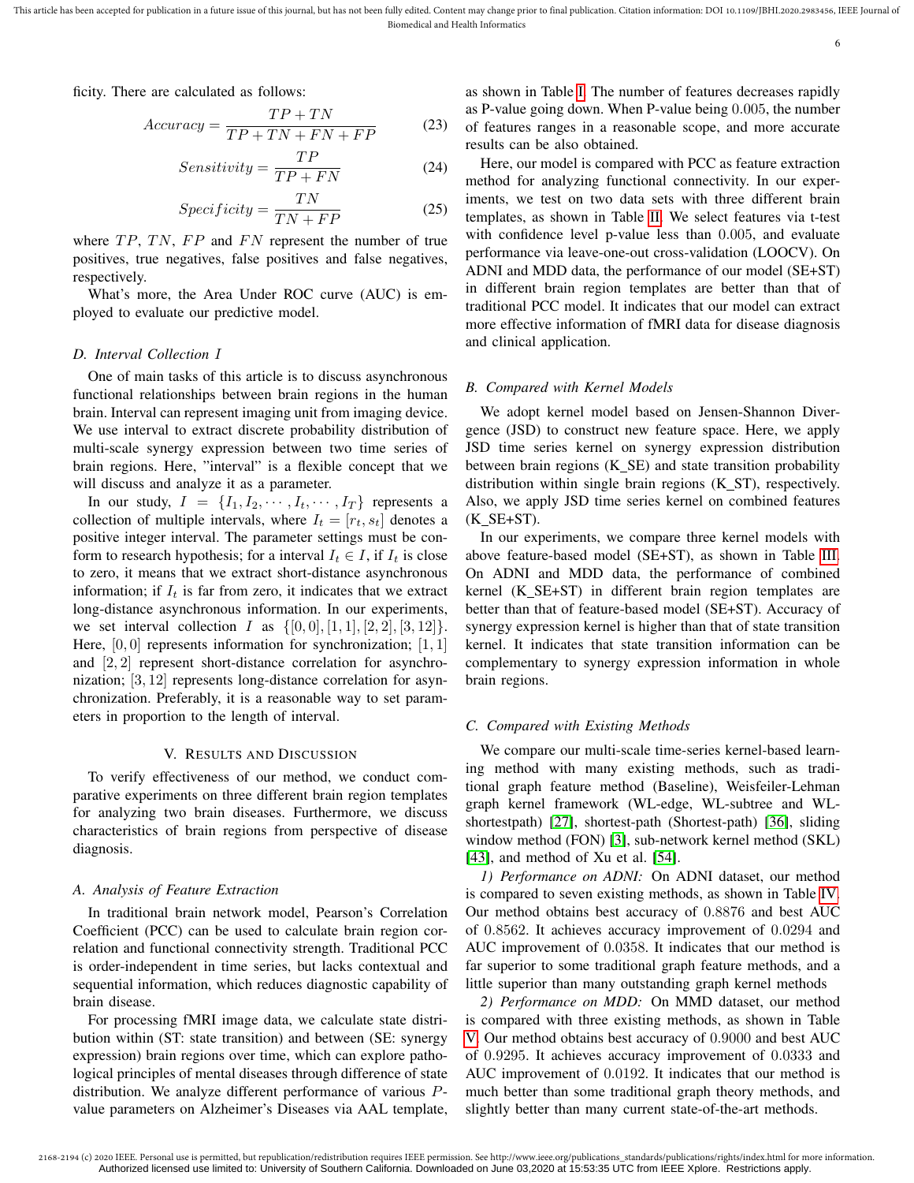ficity. There are calculated as follows:

$$
Accuracy = \frac{TP + TN}{TP + TN + FN + FP}
$$
 (23)

$$
Sensitivity = \frac{TP}{TP + FN}
$$
 (24)

$$
Specificity = \frac{TN}{TN + FP}
$$
 (25)

where  $TP$ ,  $TN$ ,  $FP$  and  $FN$  represent the number of true positives, true negatives, false positives and false negatives, respectively.

What's more, the Area Under ROC curve (AUC) is employed to evaluate our predictive model.

# *D. Interval Collection* I

One of main tasks of this article is to discuss asynchronous functional relationships between brain regions in the human brain. Interval can represent imaging unit from imaging device. We use interval to extract discrete probability distribution of multi-scale synergy expression between two time series of brain regions. Here, "interval" is a flexible concept that we will discuss and analyze it as a parameter.

In our study,  $I = \{I_1, I_2, \cdots, I_t, \cdots, I_T\}$  represents a collection of multiple intervals, where  $I_t = [r_t, s_t]$  denotes a positive integer interval. The parameter settings must be conform to research hypothesis; for a interval  $I_t \in I$ , if  $I_t$  is close to zero, it means that we extract short-distance asynchronous information; if  $I_t$  is far from zero, it indicates that we extract long-distance asynchronous information. In our experiments, we set interval collection *I* as  $\{[0, 0], [1, 1], [2, 2], [3, 12]\}.$ Here,  $[0, 0]$  represents information for synchronization;  $[1, 1]$ and [2, 2] represent short-distance correlation for asynchronization; [3, 12] represents long-distance correlation for asynchronization. Preferably, it is a reasonable way to set parameters in proportion to the length of interval.

#### V. RESULTS AND DISCUSSION

To verify effectiveness of our method, we conduct comparative experiments on three different brain region templates for analyzing two brain diseases. Furthermore, we discuss characteristics of brain regions from perspective of disease diagnosis.

#### *A. Analysis of Feature Extraction*

In traditional brain network model, Pearson's Correlation Coefficient (PCC) can be used to calculate brain region correlation and functional connectivity strength. Traditional PCC is order-independent in time series, but lacks contextual and sequential information, which reduces diagnostic capability of brain disease.

For processing fMRI image data, we calculate state distribution within (ST: state transition) and between (SE: synergy expression) brain regions over time, which can explore pathological principles of mental diseases through difference of state distribution. We analyze different performance of various Pvalue parameters on Alzheimer's Diseases via AAL template,

as shown in Table I. The number of features decreases rapidly as P-value going down. When P-value being 0.005, the number of features ranges in a reasonable scope, and more accurate results can be also obtained.

Here, our model is compared with PCC as feature extraction method for analyzing functional connectivity. In our experiments, we test on two data sets with three different brain templates, as shown in Table II. We select features via t-test with confidence level p-value less than 0.005, and evaluate performance via leave-one-out cross-validation (LOOCV). On ADNI and MDD data, the performance of our model (SE+ST) in different brain region templates are better than that of traditional PCC model. It indicates that our model can extract more effective information of fMRI data for disease diagnosis and clinical application.

# *B. Compared with Kernel Models*

We adopt kernel model based on Jensen-Shannon Divergence (JSD) to construct new feature space. Here, we apply JSD time series kernel on synergy expression distribution between brain regions  $(K_S E)$  and state transition probability distribution within single brain regions  $(K_S T)$ , respectively. Also, we apply JSD time series kernel on combined features  $(K$  SE+ST).

In our experiments, we compare three kernel models with above feature-based model (SE+ST), as shown in Table III. On ADNI and MDD data, the performance of combined kernel (K\_SE+ST) in different brain region templates are better than that of feature-based model (SE+ST). Accuracy of synergy expression kernel is higher than that of state transition kernel. It indicates that state transition information can be complementary to synergy expression information in whole brain regions.

#### *C. Compared with Existing Methods*

We compare our multi-scale time-series kernel-based learning method with many existing methods, such as traditional graph feature method (Baseline), Weisfeiler-Lehman graph kernel framework (WL-edge, WL-subtree and WLshortestpath) [27], shortest-path (Shortest-path) [36], sliding window method (FON) [3], sub-network kernel method (SKL) [43], and method of Xu et al. [54].

*1) Performance on ADNI:* On ADNI dataset, our method is compared to seven existing methods, as shown in Table IV. Our method obtains best accuracy of 0.8876 and best AUC of 0.8562. It achieves accuracy improvement of 0.0294 and AUC improvement of 0.0358. It indicates that our method is far superior to some traditional graph feature methods, and a little superior than many outstanding graph kernel methods

*2) Performance on MDD:* On MMD dataset, our method is compared with three existing methods, as shown in Table V. Our method obtains best accuracy of 0.9000 and best AUC of 0.9295. It achieves accuracy improvement of 0.0333 and AUC improvement of 0.0192. It indicates that our method is much better than some traditional graph theory methods, and slightly better than many current state-of-the-art methods.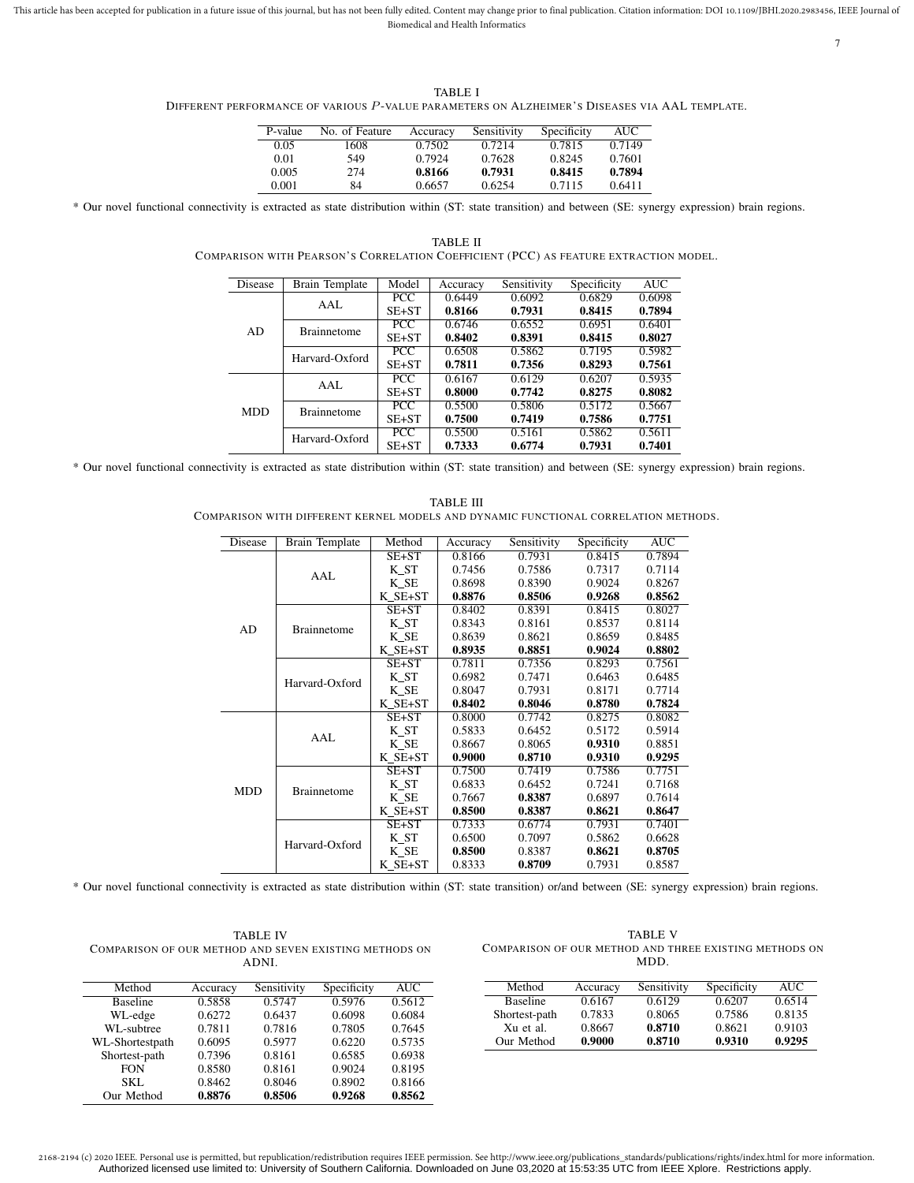This article has been accepted for publication in a future issue of this journal, but has not been fully edited. Content may change prior to final publication. Citation information: DOI 10.1109/JBHI.2020.2983456, IEEE Jour Biomedical and Health Informatics

7

TABLE I DIFFERENT PERFORMANCE OF VARIOUS P-VALUE PARAMETERS ON ALZHEIMER'S DISEASES VIA AAL TEMPLATE.

| P-value | No. of Feature | Accuracy | Sensitivity | Specificity | AUC    |
|---------|----------------|----------|-------------|-------------|--------|
| 0.05    | 1608           | 0.7502   | 0.7214      | 0.7815      | 0.7149 |
| 0.01    | 549            | 0.7924   | 0.7628      | 0.8245      | 0.7601 |
| 0.005   | 274            | 0.8166   | 0.7931      | 0.8415      | 0.7894 |
| 0.001   | 84             | 0.6657   | 0.6254      | 0.7115      | 0.6411 |

TABLE II COMPARISON WITH PEARSON'S CORRELATION COEFFICIENT (PCC) AS FEATURE EXTRACTION MODEL.

\* Our novel functional connectivity is extracted as state distribution within (ST: state transition) and between (SE: synergy expression) brain regions.

| Disease    | Brain Template     | Model      | Accuracy | Sensitivity | Specificity | <b>AUC</b> |
|------------|--------------------|------------|----------|-------------|-------------|------------|
|            | AAL.               | <b>PCC</b> | 0.6449   | 0.6092      | 0.6829      | 0.6098     |
|            |                    | $SE+ST$    | 0.8166   | 0.7931      | 0.8415      | 0.7894     |
| AD         | <b>Brainnetome</b> | <b>PCC</b> | 0.6746   | 0.6552      | 0.6951      | 0.6401     |
|            |                    | $SE+ST$    | 0.8402   | 0.8391      | 0.8415      | 0.8027     |
|            | Harvard-Oxford     | <b>PCC</b> | 0.6508   | 0.5862      | 0.7195      | 0.5982     |
|            |                    | $SE+ST$    | 0.7811   | 0.7356      | 0.8293      | 0.7561     |
|            | AAL                | <b>PCC</b> | 0.6167   | 0.6129      | 0.6207      | 0.5935     |
|            |                    | $SE+ST$    | 0.8000   | 0.7742      | 0.8275      | 0.8082     |
| <b>MDD</b> | <b>Brainnetome</b> | PCC        | 0.5500   | 0.5806      | 0.5172      | 0.5667     |
|            |                    | $SE+ST$    | 0.7500   | 0.7419      | 0.7586      | 0.7751     |
|            | Harvard-Oxford     | PCC        | 0.5500   | 0.5161      | 0.5862      | 0.5611     |
|            |                    | $SE+ST$    | 0.7333   | 0.6774      | 0.7931      | 0.7401     |

\* Our novel functional connectivity is extracted as state distribution within (ST: state transition) and between (SE: synergy expression) brain regions.

TABLE III COMPARISON WITH DIFFERENT KERNEL MODELS AND DYNAMIC FUNCTIONAL CORRELATION METHODS.

| Disease    | <b>Brain Template</b> | Method  | Accuracy | Sensitivity | Specificity | <b>AUC</b> |
|------------|-----------------------|---------|----------|-------------|-------------|------------|
|            |                       | SE+ST   | 0.8166   | 0.7931      | 0.8415      | 0.7894     |
|            | AAL                   | K ST    | 0.7456   | 0.7586      | 0.7317      | 0.7114     |
|            |                       | K SE    | 0.8698   | 0.8390      | 0.9024      | 0.8267     |
|            |                       | K SE+ST | 0.8876   | 0.8506      | 0.9268      | 0.8562     |
|            |                       | SE+ST   | 0.8402   | 0.8391      | 0.8415      | 0.8027     |
| AD         | <b>Brainnetome</b>    | K ST    | 0.8343   | 0.8161      | 0.8537      | 0.8114     |
|            |                       | K SE    | 0.8639   | 0.8621      | 0.8659      | 0.8485     |
|            |                       | K SE+ST | 0.8935   | 0.8851      | 0.9024      | 0.8802     |
|            | Harvard-Oxford        | $SE+ST$ | 0.7811   | 0.7356      | 0.8293      | 0.7561     |
|            |                       | K ST    | 0.6982   | 0.7471      | 0.6463      | 0.6485     |
|            |                       | K SE    | 0.8047   | 0.7931      | 0.8171      | 0.7714     |
|            |                       | K SE+ST | 0.8402   | 0.8046      | 0.8780      | 0.7824     |
|            | AAL                   | SE+ST   | 0.8000   | 0.7742      | 0.8275      | 0.8082     |
|            |                       | K ST    | 0.5833   | 0.6452      | 0.5172      | 0.5914     |
|            |                       | K SE    | 0.8667   | 0.8065      | 0.9310      | 0.8851     |
|            |                       | K SE+ST | 0.9000   | 0.8710      | 0.9310      | 0.9295     |
|            | <b>Brainnetome</b>    | SE+ST   | 0.7500   | 0.7419      | 0.7586      | 0.7751     |
| <b>MDD</b> |                       | K ST    | 0.6833   | 0.6452      | 0.7241      | 0.7168     |
|            |                       | K SE    | 0.7667   | 0.8387      | 0.6897      | 0.7614     |
|            |                       | K SE+ST | 0.8500   | 0.8387      | 0.8621      | 0.8647     |
|            |                       | SE+ST   | 0.7333   | 0.6774      | 0.7931      | 0.7401     |
|            | Harvard-Oxford        | K ST    | 0.6500   | 0.7097      | 0.5862      | 0.6628     |
|            |                       | K SE    | 0.8500   | 0.8387      | 0.8621      | 0.8705     |
|            |                       | K SE+ST | 0.8333   | 0.8709      | 0.7931      | 0.8587     |

\* Our novel functional connectivity is extracted as state distribution within (ST: state transition) or/and between (SE: synergy expression) brain regions.

| <b>TABLE IV</b>                                        |
|--------------------------------------------------------|
| COMPARISON OF OUR METHOD AND SEVEN EXISTING METHODS ON |
| ADNL                                                   |

| Method          | Accuracy | Sensitivity | Specificity | AUC    |
|-----------------|----------|-------------|-------------|--------|
| <b>Baseline</b> | 0.5858   | 0.5747      | 0.5976      | 0.5612 |
| WL-edge         | 0.6272   | 0.6437      | 0.6098      | 0.6084 |
| WL-subtree      | 0.7811   | 0.7816      | 0.7805      | 0.7645 |
| WL-Shortestpath | 0.6095   | 0.5977      | 0.6220      | 0.5735 |
| Shortest-path   | 0.7396   | 0.8161      | 0.6585      | 0.6938 |
| <b>FON</b>      | 0.8580   | 0.8161      | 0.9024      | 0.8195 |
| SKL             | 0.8462   | 0.8046      | 0.8902      | 0.8166 |
| Our Method      | 0.8876   | 0.8506      | 0.9268      | 0.8562 |

| <b>TABLE V</b>                                         |
|--------------------------------------------------------|
| COMPARISON OF OUR METHOD AND THREE EXISTING METHODS ON |
| MDD.                                                   |

| Method          | Accuracy | Sensitivity | Specificity | <b>AUC</b> |
|-----------------|----------|-------------|-------------|------------|
| <b>Baseline</b> | 0.6167   | 0.6129      | 0.6207      | 0.6514     |
| Shortest-path   | 0.7833   | 0.8065      | 0.7586      | 0.8135     |
| Xu et al.       | 0.8667   | 0.8710      | 0.8621      | 0.9103     |
| Our Method      | 0.9000   | 0.8710      | 0.9310      | 0.9295     |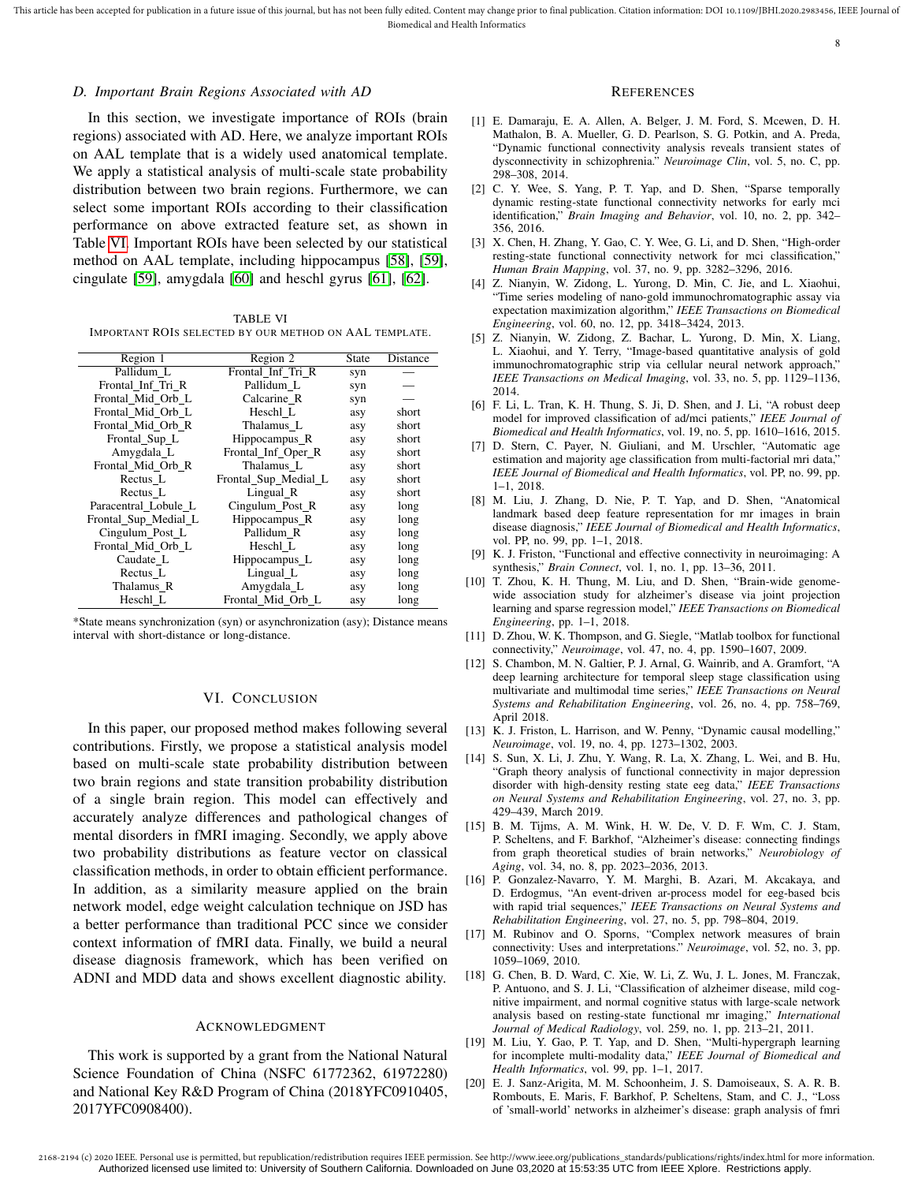## *D. Important Brain Regions Associated with AD*

In this section, we investigate importance of ROIs (brain regions) associated with AD. Here, we analyze important ROIs on AAL template that is a widely used anatomical template. We apply a statistical analysis of multi-scale state probability distribution between two brain regions. Furthermore, we can select some important ROIs according to their classification performance on above extracted feature set, as shown in Table VI. Important ROIs have been selected by our statistical method on AAL template, including hippocampus [58], [59], cingulate [59], amygdala [60] and heschl gyrus [61], [62].

TABLE VI IMPORTANT ROIS SELECTED BY OUR METHOD ON AAL TEMPLATE.

| Region 1             | Region 2             | <b>State</b> | Distance |
|----------------------|----------------------|--------------|----------|
| Pallidum L           | Frontal Inf Tri R    | syn          |          |
| Frontal Inf Tri R    | Pallidum L           | syn          |          |
| Frontal Mid Orb L    | Calcarine R          | syn          |          |
| Frontal Mid Orb L    | Heschl L             | asy          | short    |
| Frontal Mid Orb R    | Thalamus L           | asy          | short    |
| Frontal_Sup_L        | Hippocampus_R        | asy          | short    |
| Amygdala_L           | Frontal_Inf_Oper_R   | asy          | short    |
| Frontal Mid Orb R    | Thalamus L           | asy          | short    |
| Rectus L             | Frontal_Sup_Medial_L | asy          | short    |
| Rectus L             | Lingual R            | asy          | short    |
| Paracentral Lobule L | Cingulum_Post_R      | asy          | long     |
| Frontal_Sup_Medial_L | Hippocampus_R        | asy          | long     |
| Cingulum Post L      | Pallidum R           | asy          | long     |
| Frontal Mid Orb L    | Heschl L             | asy          | long     |
| Caudate L            | Hippocampus L        | asy          | long     |
| Rectus L             | Lingual <sub>L</sub> | asy          | long     |
| Thalamus_R           | Amygdala_L           | asy          | long     |
| Heschl L             | Frontal_Mid_Orb_L    | asy          | long     |

\*State means synchronization (syn) or asynchronization (asy); Distance means interval with short-distance or long-distance.

## VI. CONCLUSION

In this paper, our proposed method makes following several contributions. Firstly, we propose a statistical analysis model based on multi-scale state probability distribution between two brain regions and state transition probability distribution of a single brain region. This model can effectively and accurately analyze differences and pathological changes of mental disorders in fMRI imaging. Secondly, we apply above two probability distributions as feature vector on classical classification methods, in order to obtain efficient performance. In addition, as a similarity measure applied on the brain network model, edge weight calculation technique on JSD has a better performance than traditional PCC since we consider context information of fMRI data. Finally, we build a neural disease diagnosis framework, which has been verified on ADNI and MDD data and shows excellent diagnostic ability.

## ACKNOWLEDGMENT

This work is supported by a grant from the National Natural Science Foundation of China (NSFC 61772362, 61972280) and National Key R&D Program of China (2018YFC0910405, 2017YFC0908400).

#### **REFERENCES**

8

- [1] E. Damaraju, E. A. Allen, A. Belger, J. M. Ford, S. Mcewen, D. H. Mathalon, B. A. Mueller, G. D. Pearlson, S. G. Potkin, and A. Preda, "Dynamic functional connectivity analysis reveals transient states of dysconnectivity in schizophrenia." *Neuroimage Clin*, vol. 5, no. C, pp. 298–308, 2014.
- [2] C. Y. Wee, S. Yang, P. T. Yap, and D. Shen, "Sparse temporally dynamic resting-state functional connectivity networks for early mci identification," *Brain Imaging and Behavior*, vol. 10, no. 2, pp. 342– 356, 2016.
- [3] X. Chen, H. Zhang, Y. Gao, C. Y. Wee, G. Li, and D. Shen, "High-order resting-state functional connectivity network for mci classification," *Human Brain Mapping*, vol. 37, no. 9, pp. 3282–3296, 2016.
- [4] Z. Nianyin, W. Zidong, L. Yurong, D. Min, C. Jie, and L. Xiaohui, "Time series modeling of nano-gold immunochromatographic assay via expectation maximization algorithm," *IEEE Transactions on Biomedical Engineering*, vol. 60, no. 12, pp. 3418–3424, 2013.
- [5] Z. Nianyin, W. Zidong, Z. Bachar, L. Yurong, D. Min, X. Liang, L. Xiaohui, and Y. Terry, "Image-based quantitative analysis of gold immunochromatographic strip via cellular neural network approach," *IEEE Transactions on Medical Imaging*, vol. 33, no. 5, pp. 1129–1136, 2014.
- [6] F. Li, L. Tran, K. H. Thung, S. Ji, D. Shen, and J. Li, "A robust deep model for improved classification of ad/mci patients," *IEEE Journal of Biomedical and Health Informatics*, vol. 19, no. 5, pp. 1610–1616, 2015.
- [7] D. Stern, C. Payer, N. Giuliani, and M. Urschler, "Automatic age estimation and majority age classification from multi-factorial mri data," *IEEE Journal of Biomedical and Health Informatics*, vol. PP, no. 99, pp. 1–1, 2018.
- [8] M. Liu, J. Zhang, D. Nie, P. T. Yap, and D. Shen, "Anatomical landmark based deep feature representation for mr images in brain disease diagnosis," *IEEE Journal of Biomedical and Health Informatics*, vol. PP, no. 99, pp. 1–1, 2018.
- [9] K. J. Friston, "Functional and effective connectivity in neuroimaging: A synthesis," *Brain Connect*, vol. 1, no. 1, pp. 13–36, 2011.
- [10] T. Zhou, K. H. Thung, M. Liu, and D. Shen, "Brain-wide genomewide association study for alzheimer's disease via joint projection learning and sparse regression model," *IEEE Transactions on Biomedical Engineering*, pp. 1–1, 2018.
- [11] D. Zhou, W. K. Thompson, and G. Siegle, "Matlab toolbox for functional connectivity," *Neuroimage*, vol. 47, no. 4, pp. 1590–1607, 2009.
- [12] S. Chambon, M. N. Galtier, P. J. Arnal, G. Wainrib, and A. Gramfort, "A deep learning architecture for temporal sleep stage classification using multivariate and multimodal time series," *IEEE Transactions on Neural Systems and Rehabilitation Engineering*, vol. 26, no. 4, pp. 758–769, April 2018.
- [13] K. J. Friston, L. Harrison, and W. Penny, "Dynamic causal modelling," *Neuroimage*, vol. 19, no. 4, pp. 1273–1302, 2003.
- [14] S. Sun, X. Li, J. Zhu, Y. Wang, R. La, X. Zhang, L. Wei, and B. Hu, "Graph theory analysis of functional connectivity in major depression disorder with high-density resting state eeg data," *IEEE Transactions on Neural Systems and Rehabilitation Engineering*, vol. 27, no. 3, pp. 429–439, March 2019.
- [15] B. M. Tijms, A. M. Wink, H. W. De, V. D. F. Wm, C. J. Stam, P. Scheltens, and F. Barkhof, "Alzheimer's disease: connecting findings from graph theoretical studies of brain networks," *Neurobiology of Aging*, vol. 34, no. 8, pp. 2023–2036, 2013.
- [16] P. Gonzalez-Navarro, Y. M. Marghi, B. Azari, M. Akcakaya, and D. Erdogmus, "An event-driven ar-process model for eeg-based bcis with rapid trial sequences," *IEEE Transactions on Neural Systems and Rehabilitation Engineering*, vol. 27, no. 5, pp. 798–804, 2019.
- [17] M. Rubinov and O. Sporns, "Complex network measures of brain connectivity: Uses and interpretations." *Neuroimage*, vol. 52, no. 3, pp. 1059–1069, 2010.
- [18] G. Chen, B. D. Ward, C. Xie, W. Li, Z. Wu, J. L. Jones, M. Franczak, P. Antuono, and S. J. Li, "Classification of alzheimer disease, mild cognitive impairment, and normal cognitive status with large-scale network analysis based on resting-state functional mr imaging," *International Journal of Medical Radiology*, vol. 259, no. 1, pp. 213–21, 2011.
- [19] M. Liu, Y. Gao, P. T. Yap, and D. Shen, "Multi-hypergraph learning for incomplete multi-modality data," *IEEE Journal of Biomedical and Health Informatics*, vol. 99, pp. 1–1, 2017.
- [20] E. J. Sanz-Arigita, M. M. Schoonheim, J. S. Damoiseaux, S. A. R. B. Rombouts, E. Maris, F. Barkhof, P. Scheltens, Stam, and C. J., "Loss of 'small-world' networks in alzheimer's disease: graph analysis of fmri